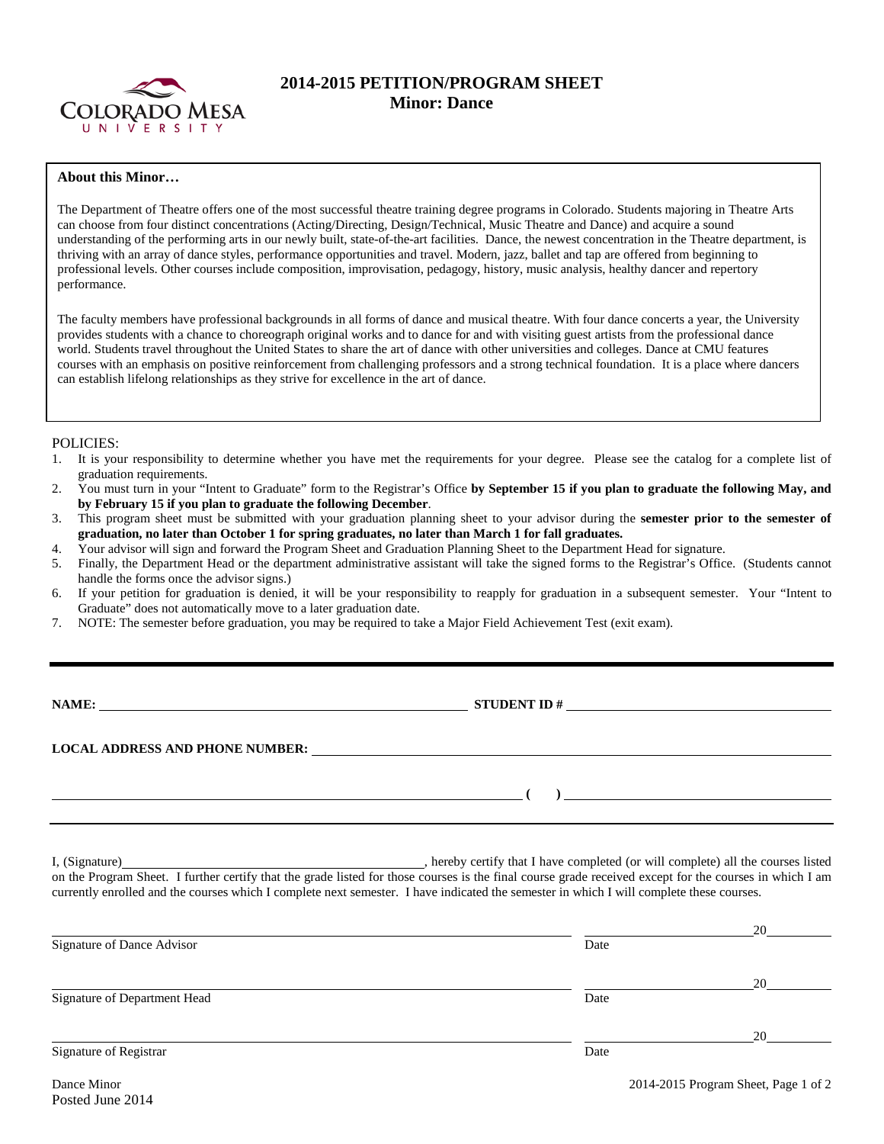

# **2014-2015 PETITION/PROGRAM SHEET Minor: Dance**

### **About this Minor…**

The Department of Theatre offers one of the most successful theatre training degree programs in Colorado. Students majoring in Theatre Arts can choose from four distinct concentrations (Acting/Directing, Design/Technical, Music Theatre and Dance) and acquire a sound understanding of the performing arts in our newly built, state-of-the-art facilities. Dance, the newest concentration in the Theatre department, is thriving with an array of dance styles, performance opportunities and travel. Modern, jazz, ballet and tap are offered from beginning to professional levels. Other courses include composition, improvisation, pedagogy, history, music analysis, healthy dancer and repertory performance.

The faculty members have professional backgrounds in all forms of dance and musical theatre. With four dance concerts a year, the University provides students with a chance to choreograph original works and to dance for and with visiting guest artists from the professional dance world. Students travel throughout the United States to share the art of dance with other universities and colleges. Dance at CMU features courses with an emphasis on positive reinforcement from challenging professors and a strong technical foundation. It is a place where dancers can establish lifelong relationships as they strive for excellence in the art of dance.

### POLICIES:

- 1. It is your responsibility to determine whether you have met the requirements for your degree. Please see the catalog for a complete list of graduation requirements.
- 2. You must turn in your "Intent to Graduate" form to the Registrar's Office **by September 15 if you plan to graduate the following May, and by February 15 if you plan to graduate the following December**.
- 3. This program sheet must be submitted with your graduation planning sheet to your advisor during the **semester prior to the semester of graduation, no later than October 1 for spring graduates, no later than March 1 for fall graduates.**
- 4. Your advisor will sign and forward the Program Sheet and Graduation Planning Sheet to the Department Head for signature.
- 5. Finally, the Department Head or the department administrative assistant will take the signed forms to the Registrar's Office. (Students cannot handle the forms once the advisor signs.)
- 6. If your petition for graduation is denied, it will be your responsibility to reapply for graduation in a subsequent semester. Your "Intent to Graduate" does not automatically move to a later graduation date.
- 7. NOTE: The semester before graduation, you may be required to take a Major Field Achievement Test (exit exam).

**NAMES IN STUDENT ID #** 

**( )** 

**LOCAL ADDRESS AND PHONE NUMBER:**

I, (Signature) **Source 2008** (Signature) **, hereby certify that I have completed** (or will complete) all the courses listed on the Program Sheet. I further certify that the grade listed for those courses is the final course grade received except for the courses in which I am currently enrolled and the courses which I complete next semester. I have indicated the semester in which I will complete these courses.

|                              |      | 20 |
|------------------------------|------|----|
| Signature of Dance Advisor   | Date |    |
|                              |      | 20 |
| Signature of Department Head | Date |    |
|                              |      | 20 |
| Signature of Registrar       | Date |    |
|                              |      |    |